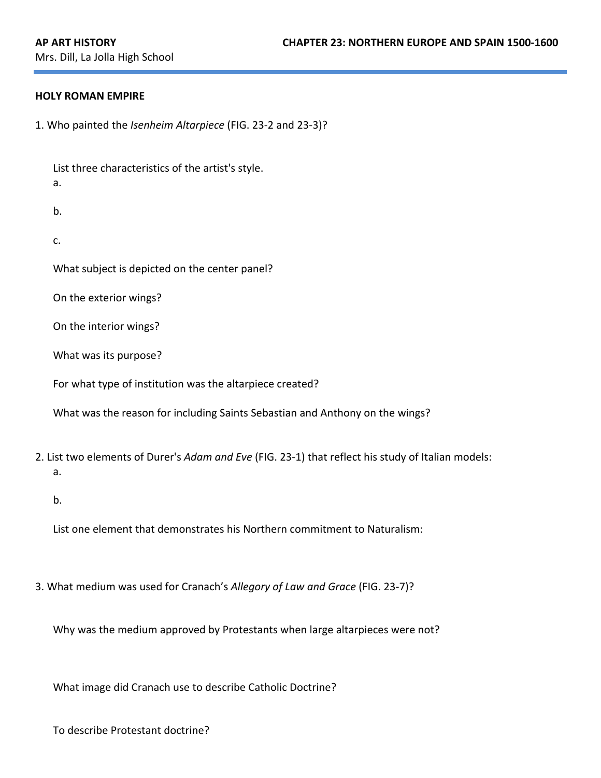### **HOLY ROMAN EMPIRE**

1. Who painted the *Isenheim Altarpiece* (FIG. 23-2 and 23-3)?

List three characteristics of the artist's style. a. b. c. What subject is depicted on the center panel? On the exterior wings? On the interior wings? What was its purpose? For what type of institution was the altarpiece created? What was the reason for including Saints Sebastian and Anthony on the wings? 2. List two elements of Durer's *Adam and Eve* (FIG. 23-1) that reflect his study of Italian models: a. b. List one element that demonstrates his Northern commitment to Naturalism:

3. What medium was used for Cranach's Allegory of Law and Grace (FIG. 23-7)?

Why was the medium approved by Protestants when large altarpieces were not?

What image did Cranach use to describe Catholic Doctrine?

To describe Protestant doctrine?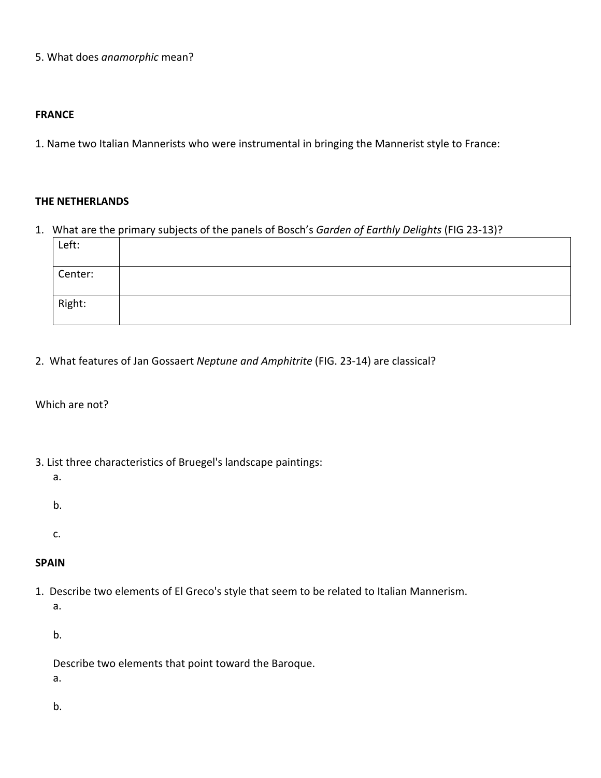5. What does *anamorphic* mean?

### **FRANCE**

1. Name two Italian Mannerists who were instrumental in bringing the Mannerist style to France:

#### **THE NETHERLANDS**

1. What are the primary subjects of the panels of Bosch's Garden of Earthly Delights (FIG 23-13)?

| Left:   |  |
|---------|--|
| Center: |  |
| Right:  |  |

2. What features of Jan Gossaert Neptune and Amphitrite (FIG. 23-14) are classical?

## Which are not?

- 3. List three characteristics of Bruegel's landscape paintings:
	- a.
	- b.
	-
	- c.

# **SPAIN**

1. Describe two elements of El Greco's style that seem to be related to Italian Mannerism.

a. 

b. 

- Describe two elements that point toward the Baroque.
- a.
- b.